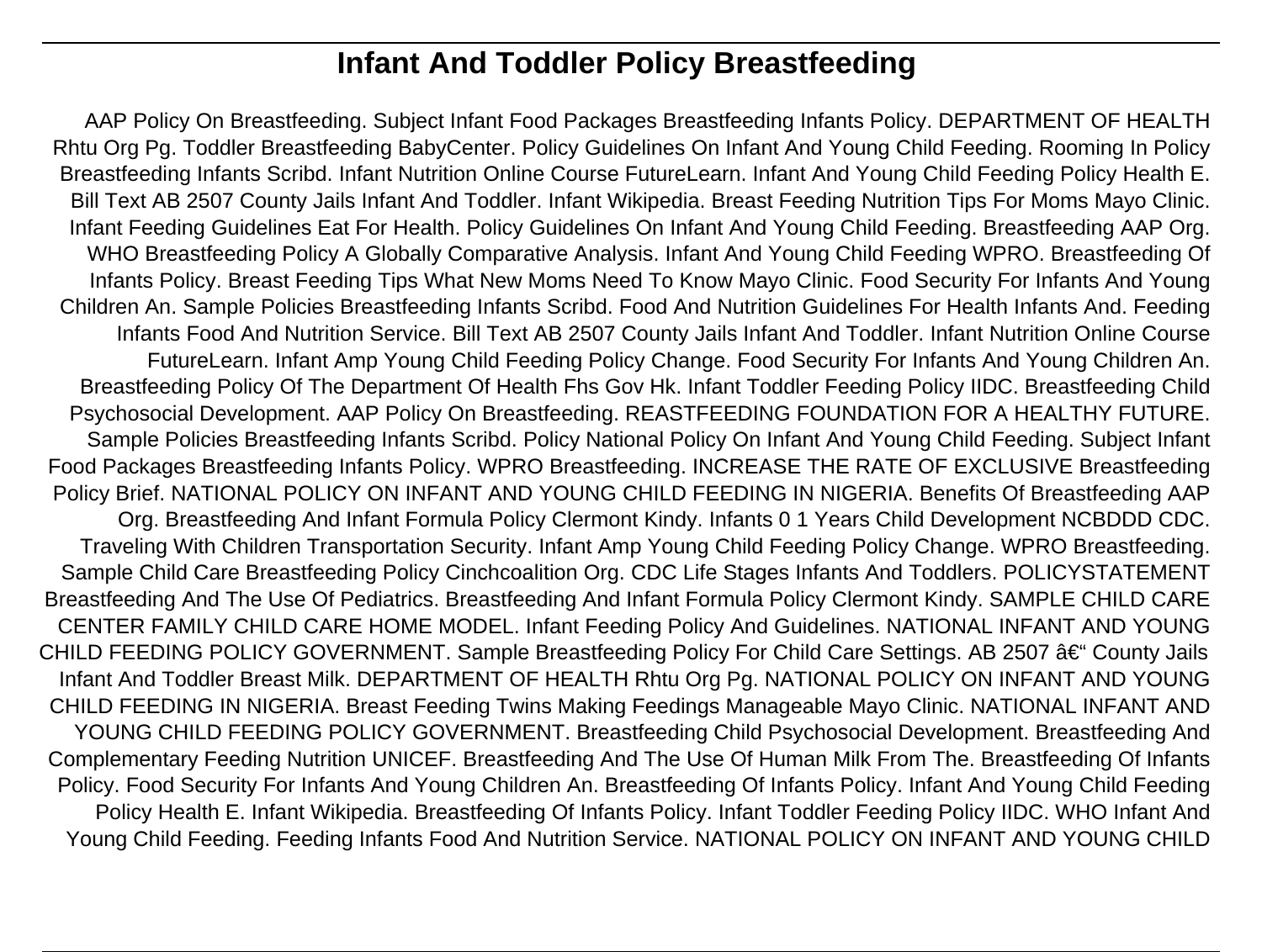# **Infant And Toddler Policy Breastfeeding**

AAP Policy On Breastfeeding. Subject Infant Food Packages Breastfeeding Infants Policy. DEPARTMENT OF HEALTH Rhtu Org Pg. Toddler Breastfeeding BabyCenter. Policy Guidelines On Infant And Young Child Feeding. Rooming In Policy Breastfeeding Infants Scribd. Infant Nutrition Online Course FutureLearn. Infant And Young Child Feeding Policy Health E. Bill Text AB 2507 County Jails Infant And Toddler. Infant Wikipedia. Breast Feeding Nutrition Tips For Moms Mayo Clinic. Infant Feeding Guidelines Eat For Health. Policy Guidelines On Infant And Young Child Feeding. Breastfeeding AAP Org. WHO Breastfeeding Policy A Globally Comparative Analysis. Infant And Young Child Feeding WPRO. Breastfeeding Of Infants Policy. Breast Feeding Tips What New Moms Need To Know Mayo Clinic. Food Security For Infants And Young Children An. Sample Policies Breastfeeding Infants Scribd. Food And Nutrition Guidelines For Health Infants And. Feeding Infants Food And Nutrition Service. Bill Text AB 2507 County Jails Infant And Toddler. Infant Nutrition Online Course FutureLearn. Infant Amp Young Child Feeding Policy Change. Food Security For Infants And Young Children An. Breastfeeding Policy Of The Department Of Health Fhs Gov Hk. Infant Toddler Feeding Policy IIDC. Breastfeeding Child Psychosocial Development. AAP Policy On Breastfeeding. REASTFEEDING FOUNDATION FOR A HEALTHY FUTURE. Sample Policies Breastfeeding Infants Scribd. Policy National Policy On Infant And Young Child Feeding. Subject Infant Food Packages Breastfeeding Infants Policy. WPRO Breastfeeding. INCREASE THE RATE OF EXCLUSIVE Breastfeeding Policy Brief. NATIONAL POLICY ON INFANT AND YOUNG CHILD FEEDING IN NIGERIA. Benefits Of Breastfeeding AAP Org. Breastfeeding And Infant Formula Policy Clermont Kindy. Infants 0 1 Years Child Development NCBDDD CDC. Traveling With Children Transportation Security. Infant Amp Young Child Feeding Policy Change. WPRO Breastfeeding. Sample Child Care Breastfeeding Policy Cinchcoalition Org. CDC Life Stages Infants And Toddlers. POLICYSTATEMENT Breastfeeding And The Use Of Pediatrics. Breastfeeding And Infant Formula Policy Clermont Kindy. SAMPLE CHILD CARE CENTER FAMILY CHILD CARE HOME MODEL. Infant Feeding Policy And Guidelines. NATIONAL INFANT AND YOUNG CHILD FEEDING POLICY GOVERNMENT. Sample Breastfeeding Policy For Child Care Settings. AB 2507 †County Jails Infant And Toddler Breast Milk. DEPARTMENT OF HEALTH Rhtu Org Pg. NATIONAL POLICY ON INFANT AND YOUNG CHILD FEEDING IN NIGERIA. Breast Feeding Twins Making Feedings Manageable Mayo Clinic. NATIONAL INFANT AND YOUNG CHILD FEEDING POLICY GOVERNMENT. Breastfeeding Child Psychosocial Development. Breastfeeding And Complementary Feeding Nutrition UNICEF. Breastfeeding And The Use Of Human Milk From The. Breastfeeding Of Infants Policy. Food Security For Infants And Young Children An. Breastfeeding Of Infants Policy. Infant And Young Child Feeding Policy Health E. Infant Wikipedia. Breastfeeding Of Infants Policy. Infant Toddler Feeding Policy IIDC. WHO Infant And Young Child Feeding. Feeding Infants Food And Nutrition Service. NATIONAL POLICY ON INFANT AND YOUNG CHILD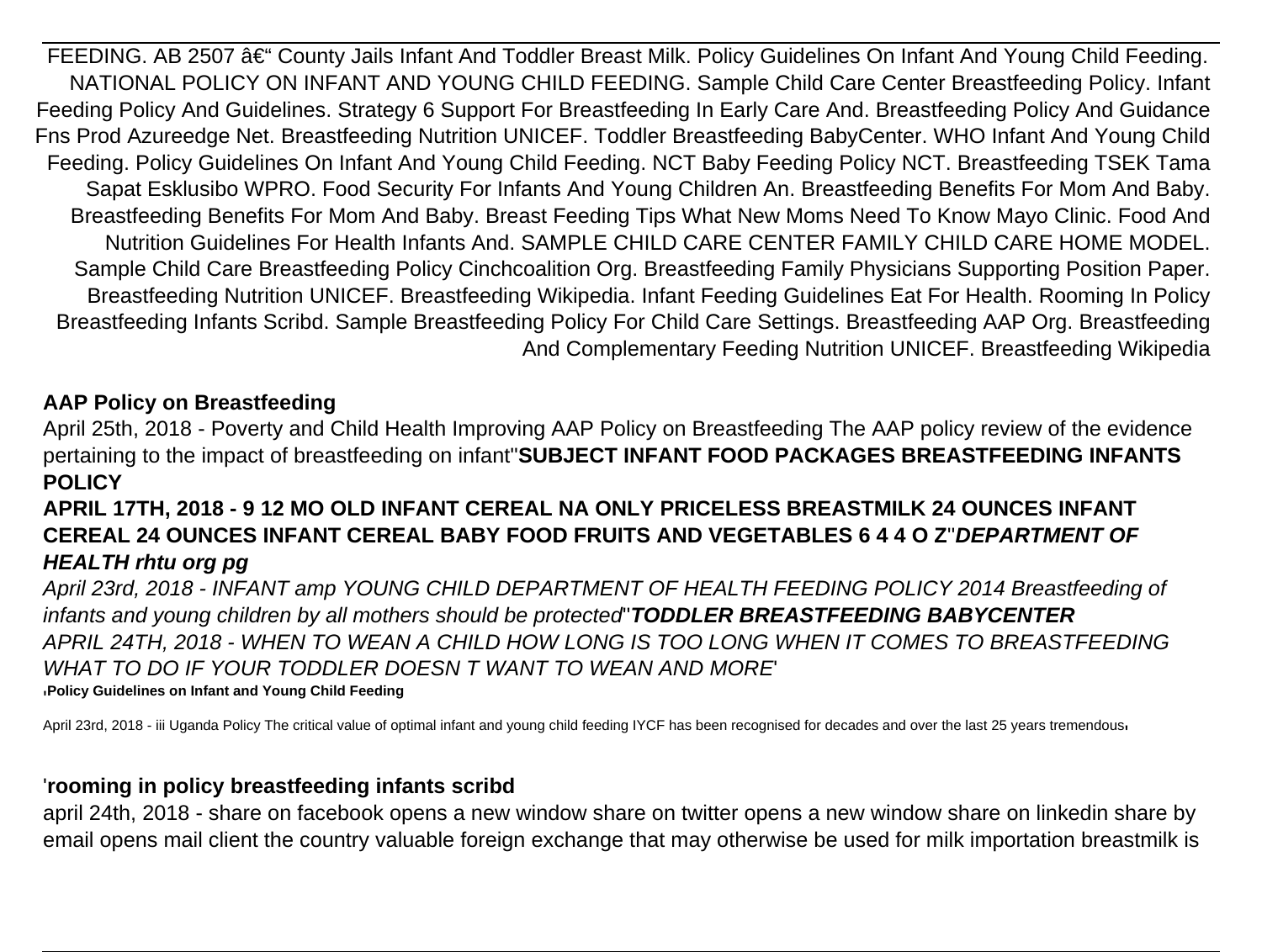FEEDING. AB 2507 – County Jails Infant And Toddler Breast Milk. Policy Guidelines On Infant And Young Child Feeding. NATIONAL POLICY ON INFANT AND YOUNG CHILD FEEDING. Sample Child Care Center Breastfeeding Policy. Infant Feeding Policy And Guidelines. Strategy 6 Support For Breastfeeding In Early Care And. Breastfeeding Policy And Guidance Fns Prod Azureedge Net. Breastfeeding Nutrition UNICEF. Toddler Breastfeeding BabyCenter. WHO Infant And Young Child Feeding. Policy Guidelines On Infant And Young Child Feeding. NCT Baby Feeding Policy NCT. Breastfeeding TSEK Tama Sapat Esklusibo WPRO. Food Security For Infants And Young Children An. Breastfeeding Benefits For Mom And Baby. Breastfeeding Benefits For Mom And Baby. Breast Feeding Tips What New Moms Need To Know Mayo Clinic. Food And Nutrition Guidelines For Health Infants And. SAMPLE CHILD CARE CENTER FAMILY CHILD CARE HOME MODEL. Sample Child Care Breastfeeding Policy Cinchcoalition Org. Breastfeeding Family Physicians Supporting Position Paper. Breastfeeding Nutrition UNICEF. Breastfeeding Wikipedia. Infant Feeding Guidelines Eat For Health. Rooming In Policy Breastfeeding Infants Scribd. Sample Breastfeeding Policy For Child Care Settings. Breastfeeding AAP Org. Breastfeeding And Complementary Feeding Nutrition UNICEF. Breastfeeding Wikipedia

#### **AAP Policy on Breastfeeding**

April 25th, 2018 - Poverty and Child Health Improving AAP Policy on Breastfeeding The AAP policy review of the evidence pertaining to the impact of breastfeeding on infant''**SUBJECT INFANT FOOD PACKAGES BREASTFEEDING INFANTS POLICY**

# **APRIL 17TH, 2018 - 9 12 MO OLD INFANT CEREAL NA ONLY PRICELESS BREASTMILK 24 OUNCES INFANT CEREAL 24 OUNCES INFANT CEREAL BABY FOOD FRUITS AND VEGETABLES 6 4 4 O Z**''**DEPARTMENT OF HEALTH rhtu org pg**

April 23rd, 2018 - INFANT amp YOUNG CHILD DEPARTMENT OF HEALTH FEEDING POLICY 2014 Breastfeeding of infants and young children by all mothers should be protected''**TODDLER BREASTFEEDING BABYCENTER** APRIL 24TH, 2018 - WHEN TO WEAN A CHILD HOW LONG IS TOO LONG WHEN IT COMES TO BREASTFEEDING WHAT TO DO IF YOUR TODDLER DOESN T WANT TO WEAN AND MORE '**Policy Guidelines on Infant and Young Child Feeding**

April 23rd, 2018 - iii Uganda Policy The critical value of optimal infant and young child feeding IYCF has been recognised for decades and over the last 25 years tremendous

#### '**rooming in policy breastfeeding infants scribd**

april 24th, 2018 - share on facebook opens a new window share on twitter opens a new window share on linkedin share by email opens mail client the country valuable foreign exchange that may otherwise be used for milk importation breastmilk is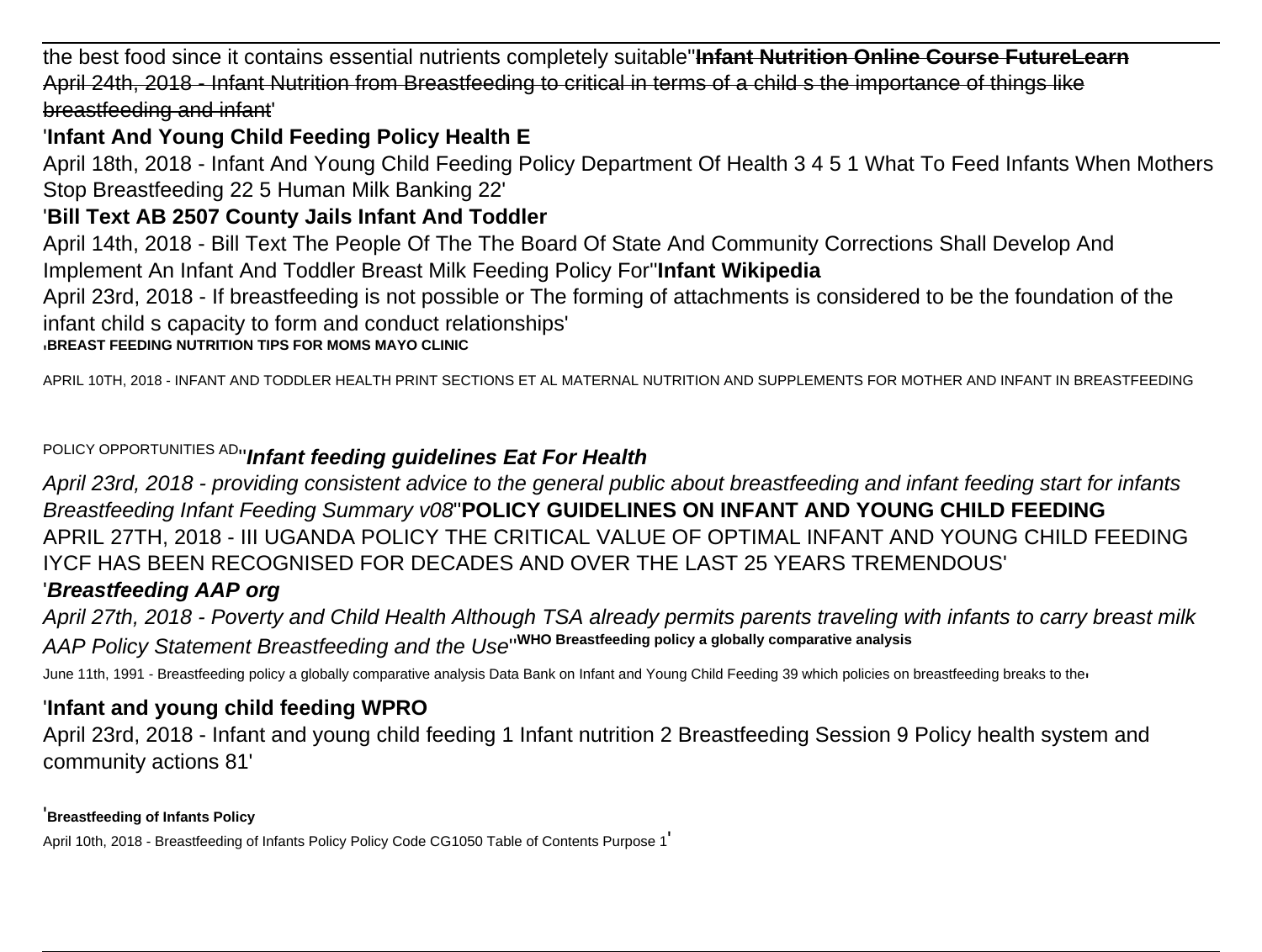the best food since it contains essential nutrients completely suitable''**Infant Nutrition Online Course FutureLearn** April 24th, 2018 - Infant Nutrition from Breastfeeding to critical in terms of a child s the importance of things like breastfeeding and infant'

# '**Infant And Young Child Feeding Policy Health E**

April 18th, 2018 - Infant And Young Child Feeding Policy Department Of Health 3 4 5 1 What To Feed Infants When Mothers Stop Breastfeeding 22 5 Human Milk Banking 22'

# '**Bill Text AB 2507 County Jails Infant And Toddler**

April 14th, 2018 - Bill Text The People Of The The Board Of State And Community Corrections Shall Develop And Implement An Infant And Toddler Breast Milk Feeding Policy For''**Infant Wikipedia**

April 23rd, 2018 - If breastfeeding is not possible or The forming of attachments is considered to be the foundation of the infant child s capacity to form and conduct relationships'

#### '**BREAST FEEDING NUTRITION TIPS FOR MOMS MAYO CLINIC**

APRIL 10TH, 2018 - INFANT AND TODDLER HEALTH PRINT SECTIONS ET AL MATERNAL NUTRITION AND SUPPLEMENTS FOR MOTHER AND INFANT IN BREASTFEEDING

POLICY OPPORTUNITIES AD''**Infant feeding guidelines Eat For Health**

April 23rd, 2018 - providing consistent advice to the general public about breastfeeding and infant feeding start for infants Breastfeeding Infant Feeding Summary v08''**POLICY GUIDELINES ON INFANT AND YOUNG CHILD FEEDING** APRIL 27TH, 2018 - III UGANDA POLICY THE CRITICAL VALUE OF OPTIMAL INFANT AND YOUNG CHILD FEEDING IYCF HAS BEEN RECOGNISED FOR DECADES AND OVER THE LAST 25 YEARS TREMENDOUS' '**Breastfeeding AAP org**

April 27th, 2018 - Poverty and Child Health Although TSA already permits parents traveling with infants to carry breast milk AAP Policy Statement Breastfeeding and the Use''**WHO Breastfeeding policy a globally comparative analysis**

June 11th, 1991 - Breastfeeding policy a globally comparative analysis Data Bank on Infant and Young Child Feeding 39 which policies on breastfeeding breaks to ther

# '**Infant and young child feeding WPRO**

April 23rd, 2018 - Infant and young child feeding 1 Infant nutrition 2 Breastfeeding Session 9 Policy health system and community actions 81'

'**Breastfeeding of Infants Policy**

April 10th, 2018 - Breastfeeding of Infants Policy Policy Code CG1050 Table of Contents Purpose 1'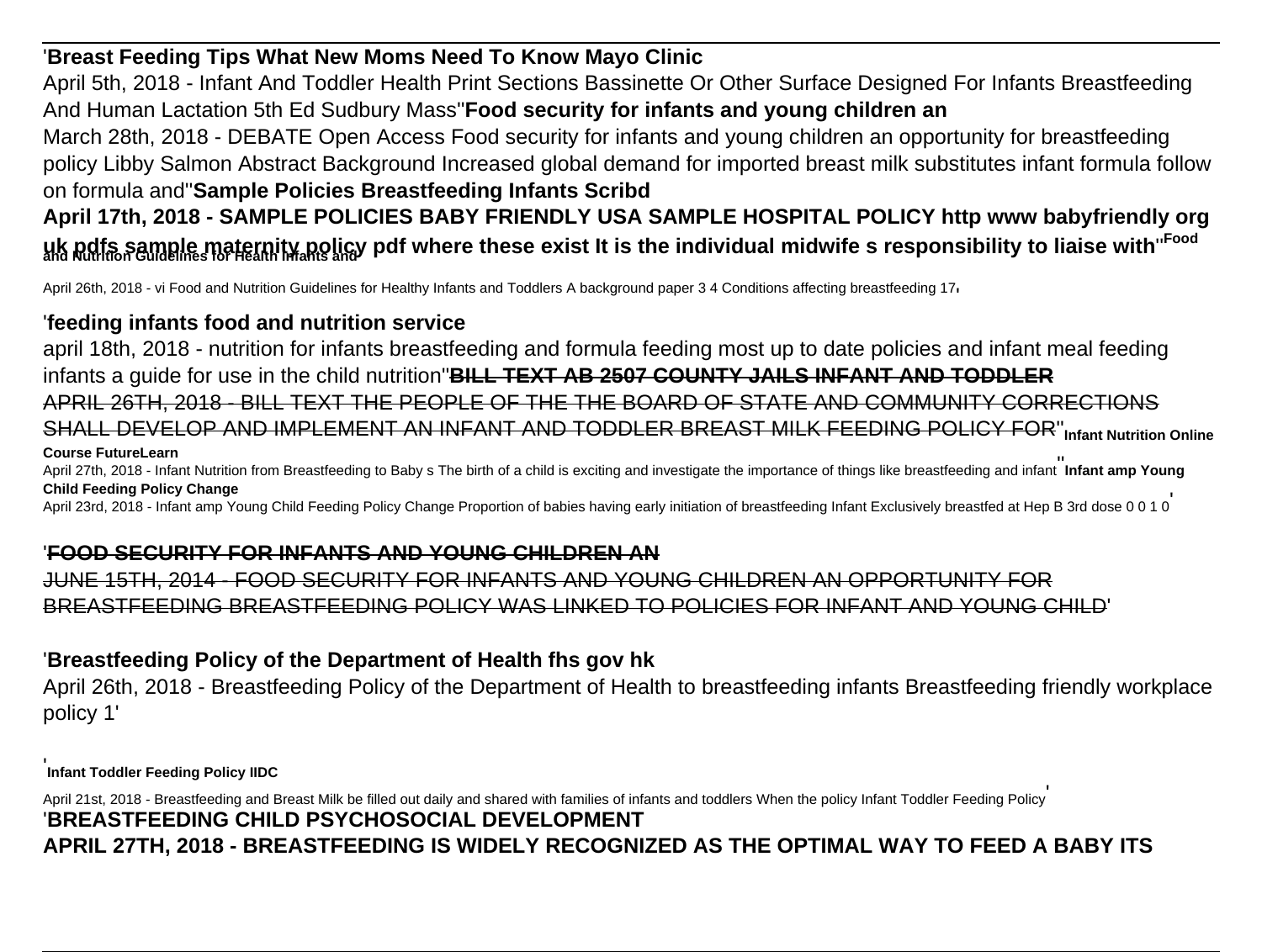# '**Breast Feeding Tips What New Moms Need To Know Mayo Clinic**

April 5th, 2018 - Infant And Toddler Health Print Sections Bassinette Or Other Surface Designed For Infants Breastfeeding And Human Lactation 5th Ed Sudbury Mass''**Food security for infants and young children an**

March 28th, 2018 - DEBATE Open Access Food security for infants and young children an opportunity for breastfeeding policy Libby Salmon Abstract Background Increased global demand for imported breast milk substitutes infant formula follow on formula and''**Sample Policies Breastfeeding Infants Scribd**

**April 17th, 2018 - SAMPLE POLICIES BABY FRIENDLY USA SAMPLE HOSPITAL POLICY http www babyfriendly org uk pdfs sample maternity policy pdf where these exist It is the individual midwife s responsibility to liaise with**''**Food and Nutrition Guidelines for Health Infants and**

April 26th, 2018 - vi Food and Nutrition Guidelines for Healthy Infants and Toddlers A background paper 3 4 Conditions affecting breastfeeding 17,

# '**feeding infants food and nutrition service**

april 18th, 2018 - nutrition for infants breastfeeding and formula feeding most up to date policies and infant meal feeding infants a guide for use in the child nutrition''**BILL TEXT AB 2507 COUNTY JAILS INFANT AND TODDLER** APRIL 26TH, 2018 - BILL TEXT THE PEOPLE OF THE THE BOARD OF STATE AND COMMUNITY CORRECTIONS SHALL DEVELOP AND IMPLEMENT AN INFANT AND TODDLER BREAST MILK FEEDING POLICY FOR''**Infant Nutrition Online Course FutureLearn** April 27th, 2018 - Infant Nutrition from Breastfeeding to Baby s The birth of a child is exciting and investigate the importance of things like breastfeeding and infant **Infant amp Young Child Feeding Policy Change**

April 23rd, 2018 - Infant amp Young Child Feeding Policy Change Proportion of babies having early initiation of breastfeeding Infant Exclusively breastfed at Hep B 3rd dose 0 0 1 0

# '**FOOD SECURITY FOR INFANTS AND YOUNG CHILDREN AN**

JUNE 15TH, 2014 - FOOD SECURITY FOR INFANTS AND YOUNG CHILDREN AN OPPORTUNITY FOR BREASTFEEDING BREASTFEEDING POLICY WAS LINKED TO POLICIES FOR INFANT AND YOUNG CHILD'

# '**Breastfeeding Policy of the Department of Health fhs gov hk**

April 26th, 2018 - Breastfeeding Policy of the Department of Health to breastfeeding infants Breastfeeding friendly workplace policy 1'

'**Infant Toddler Feeding Policy IIDC**

April 21st, 2018 - Breastfeeding and Breast Milk be filled out daily and shared with families of infants and toddlers When the policy Infant Toddler Feeding Policy '**BREASTFEEDING CHILD PSYCHOSOCIAL DEVELOPMENT APRIL 27TH, 2018 - BREASTFEEDING IS WIDELY RECOGNIZED AS THE OPTIMAL WAY TO FEED A BABY ITS**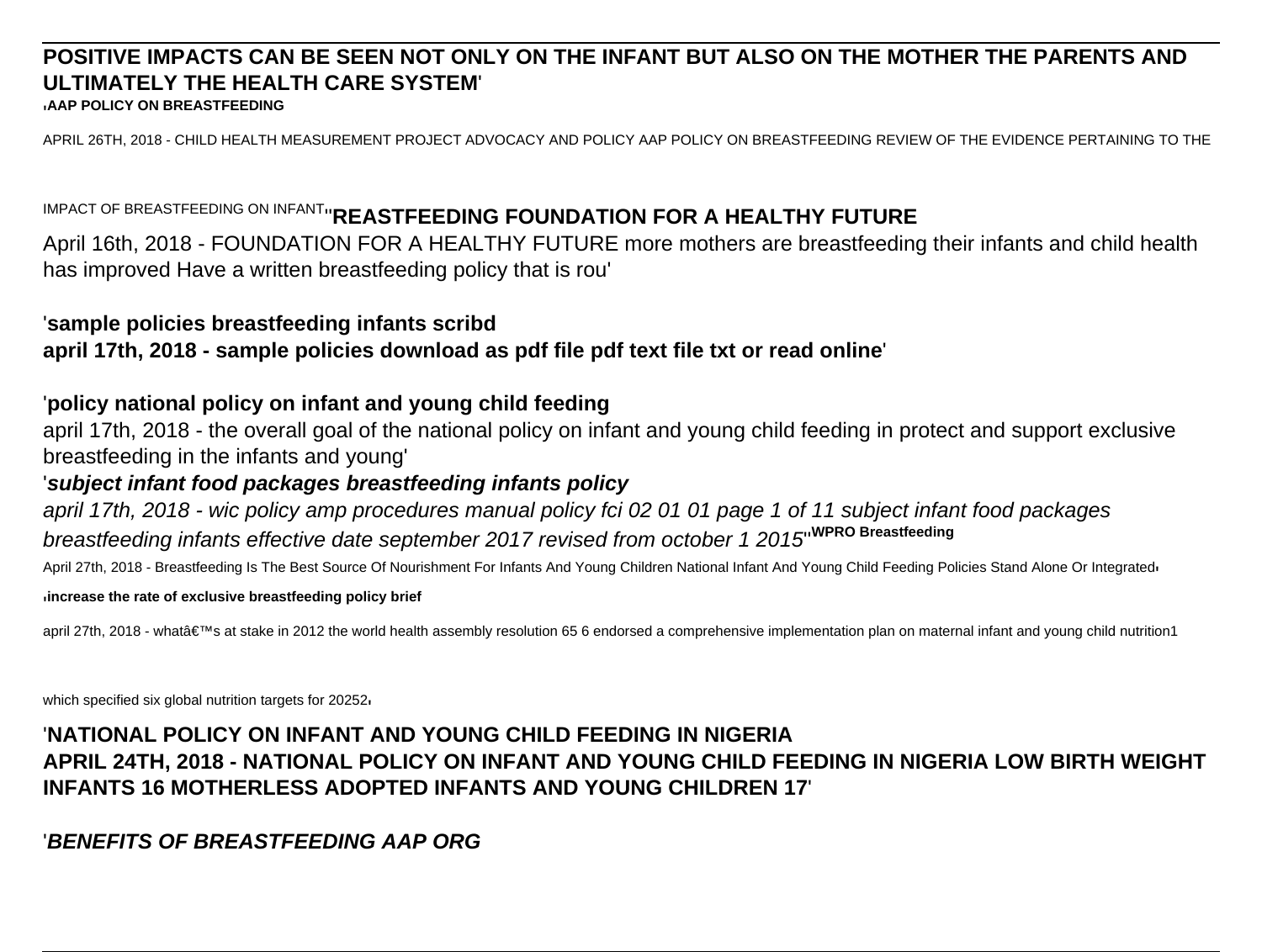# **POSITIVE IMPACTS CAN BE SEEN NOT ONLY ON THE INFANT BUT ALSO ON THE MOTHER THE PARENTS AND ULTIMATELY THE HEALTH CARE SYSTEM**'

'**AAP POLICY ON BREASTFEEDING**

APRIL 26TH, 2018 - CHILD HEALTH MEASUREMENT PROJECT ADVOCACY AND POLICY AAP POLICY ON BREASTFEEDING REVIEW OF THE EVIDENCE PERTAINING TO THE

IMPACT OF BREASTFEEDING ON INFANT''**REASTFEEDING FOUNDATION FOR A HEALTHY FUTURE**

April 16th, 2018 - FOUNDATION FOR A HEALTHY FUTURE more mothers are breastfeeding their infants and child health has improved Have a written breastfeeding policy that is rou'

#### '**sample policies breastfeeding infants scribd**

### **april 17th, 2018 - sample policies download as pdf file pdf text file txt or read online**'

#### '**policy national policy on infant and young child feeding**

april 17th, 2018 - the overall goal of the national policy on infant and young child feeding in protect and support exclusive breastfeeding in the infants and young'

### '**subject infant food packages breastfeeding infants policy**

april 17th, 2018 - wic policy amp procedures manual policy fci 02 01 01 page 1 of 11 subject infant food packages breastfeeding infants effective date september 2017 revised from october 1 2015''**WPRO Breastfeeding**

April 27th, 2018 - Breastfeeding Is The Best Source Of Nourishment For Infants And Young Children National Infant And Young Child Feeding Policies Stand Alone Or Integrated

#### '**increase the rate of exclusive breastfeeding policy brief**

april 27th, 2018 - what's at stake in 2012 the world health assembly resolution 65 6 endorsed a comprehensive implementation plan on maternal infant and young child nutrition1

which specified six global nutrition targets for 20252<sub>'</sub>

## '**NATIONAL POLICY ON INFANT AND YOUNG CHILD FEEDING IN NIGERIA APRIL 24TH, 2018 - NATIONAL POLICY ON INFANT AND YOUNG CHILD FEEDING IN NIGERIA LOW BIRTH WEIGHT INFANTS 16 MOTHERLESS ADOPTED INFANTS AND YOUNG CHILDREN 17**'

'**BENEFITS OF BREASTFEEDING AAP ORG**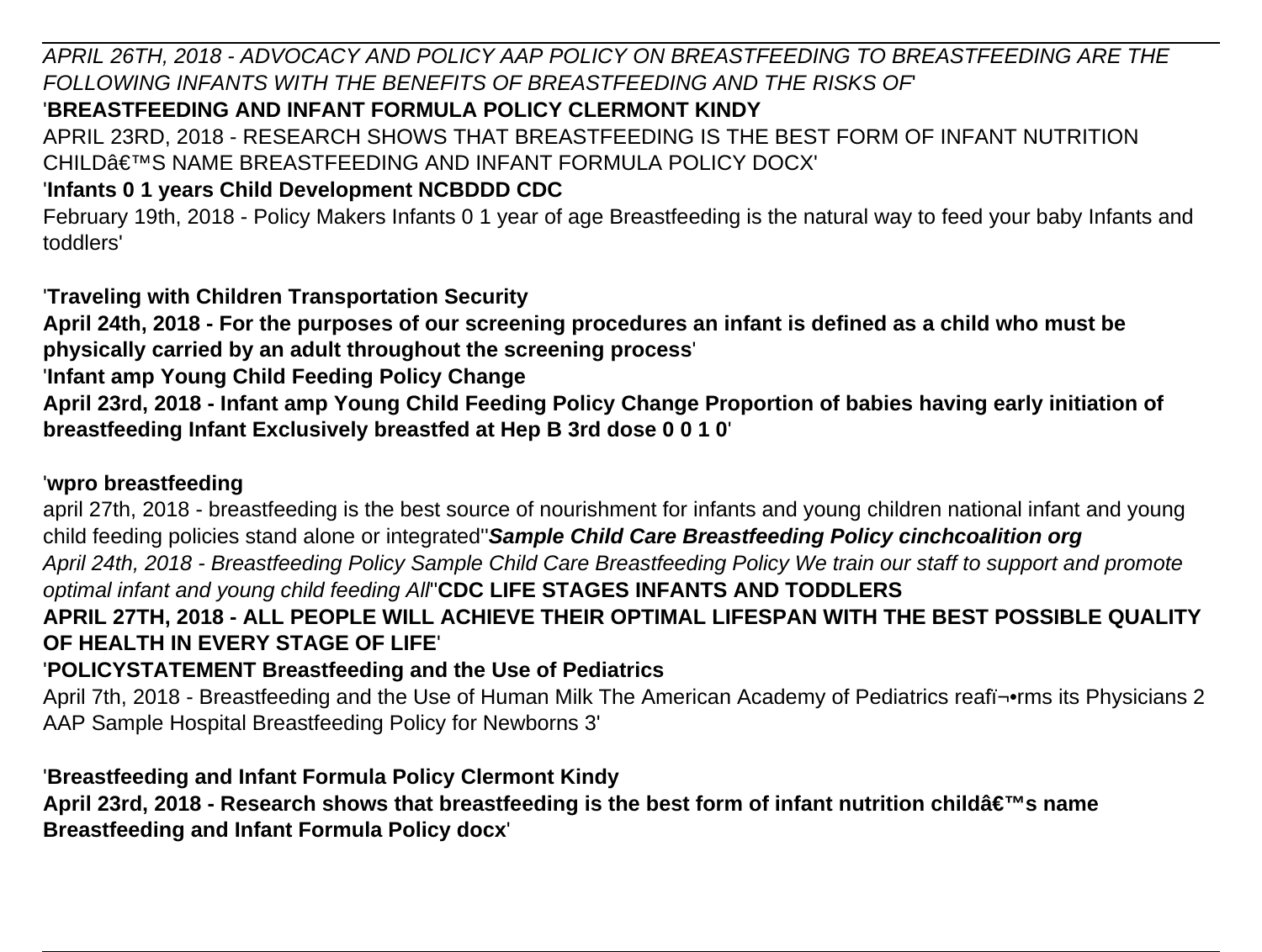APRIL 26TH, 2018 - ADVOCACY AND POLICY AAP POLICY ON BREASTFEEDING TO BREASTFEEDING ARE THE FOLLOWING INFANTS WITH THE BENEFITS OF BREASTFEEDING AND THE RISKS OF'

# '**BREASTFEEDING AND INFANT FORMULA POLICY CLERMONT KINDY**

APRIL 23RD, 2018 - RESEARCH SHOWS THAT BREASTFEEDING IS THE BEST FORM OF INFANT NUTRITION CHILD€™S NAME BREASTFEEDING AND INFANT FORMULA POLICY DOCX'

# '**Infants 0 1 years Child Development NCBDDD CDC**

February 19th, 2018 - Policy Makers Infants 0 1 year of age Breastfeeding is the natural way to feed your baby Infants and toddlers'

'**Traveling with Children Transportation Security**

**April 24th, 2018 - For the purposes of our screening procedures an infant is defined as a child who must be physically carried by an adult throughout the screening process**'

'**Infant amp Young Child Feeding Policy Change**

**April 23rd, 2018 - Infant amp Young Child Feeding Policy Change Proportion of babies having early initiation of breastfeeding Infant Exclusively breastfed at Hep B 3rd dose 0 0 1 0**'

## '**wpro breastfeeding**

april 27th, 2018 - breastfeeding is the best source of nourishment for infants and young children national infant and young child feeding policies stand alone or integrated''**Sample Child Care Breastfeeding Policy cinchcoalition org** April 24th, 2018 - Breastfeeding Policy Sample Child Care Breastfeeding Policy We train our staff to support and promote optimal infant and young child feeding All''**CDC LIFE STAGES INFANTS AND TODDLERS APRIL 27TH, 2018 - ALL PEOPLE WILL ACHIEVE THEIR OPTIMAL LIFESPAN WITH THE BEST POSSIBLE QUALITY OF HEALTH IN EVERY STAGE OF LIFE**'

# '**POLICYSTATEMENT Breastfeeding and the Use of Pediatrics**

April 7th, 2018 - Breastfeeding and the Use of Human Milk The American Academy of Pediatrics reafi¥rms its Physicians 2 AAP Sample Hospital Breastfeeding Policy for Newborns 3'

# '**Breastfeeding and Infant Formula Policy Clermont Kindy**

April 23rd, 2018 - Research shows that breastfeeding is the best form of infant nutrition childâ€<sup>™</sup>s name **Breastfeeding and Infant Formula Policy docx**'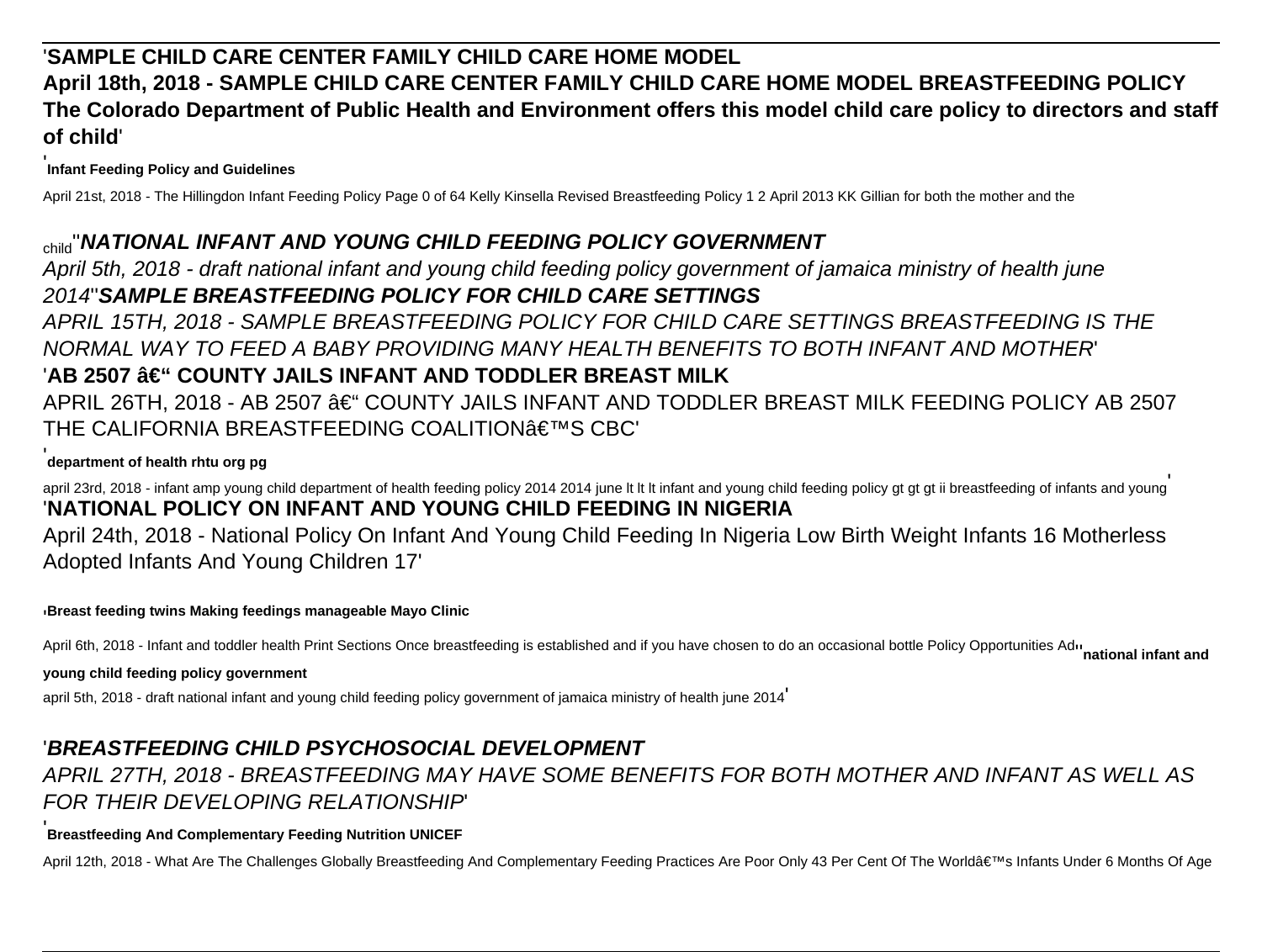# '**SAMPLE CHILD CARE CENTER FAMILY CHILD CARE HOME MODEL April 18th, 2018 - SAMPLE CHILD CARE CENTER FAMILY CHILD CARE HOME MODEL BREASTFEEDING POLICY The Colorado Department of Public Health and Environment offers this model child care policy to directors and staff of child**'

#### '**Infant Feeding Policy and Guidelines**

April 21st, 2018 - The Hillingdon Infant Feeding Policy Page 0 of 64 Kelly Kinsella Revised Breastfeeding Policy 1 2 April 2013 KK Gillian for both the mother and the

#### child''**NATIONAL INFANT AND YOUNG CHILD FEEDING POLICY GOVERNMENT**

April 5th, 2018 - draft national infant and young child feeding policy government of jamaica ministry of health june 2014''**SAMPLE BREASTFEEDING POLICY FOR CHILD CARE SETTINGS**

APRIL 15TH, 2018 - SAMPLE BREASTFEEDING POLICY FOR CHILD CARE SETTINGS BREASTFEEDING IS THE NORMAL WAY TO FEED A BABY PROVIDING MANY HEALTH BENEFITS TO BOTH INFANT AND MOTHER' 'AB 2507 â€" COUNTY JAILS INFANT AND TODDLER BREAST MILK  $APRIL$  26TH, 2018 - AB 2507 â $\epsilon$ " COUNTY JAILS INFANT AND TODDLER BREAST MILK FEEDING POLICY AB 2507 THE CALIFORNIA BREASTFEEDING COALITION'S CBC'

#### '**department of health rhtu org pg**

april 23rd, 2018 - infant amp young child department of health feeding policy 2014 2014 june It It Infant and young child feeding policy gt gt gt ii breastfeeding of infants and young '**NATIONAL POLICY ON INFANT AND YOUNG CHILD FEEDING IN NIGERIA**

April 24th, 2018 - National Policy On Infant And Young Child Feeding In Nigeria Low Birth Weight Infants 16 Motherless Adopted Infants And Young Children 17'

#### '**Breast feeding twins Making feedings manageable Mayo Clinic**

April 6th, 2018 - Infant and toddler health Print Sections Once breastfeeding is established and if you have chosen to do an occasional bottle Policy Opportunities Aduncular and and

#### **young child feeding policy government**

april 5th, 2018 - draft national infant and young child feeding policy government of jamaica ministry of health june 2014'

### '**BREASTFEEDING CHILD PSYCHOSOCIAL DEVELOPMENT**

## APRIL 27TH, 2018 - BREASTFEEDING MAY HAVE SOME BENEFITS FOR BOTH MOTHER AND INFANT AS WELL AS FOR THEIR DEVELOPING RELATIONSHIP'

#### '**Breastfeeding And Complementary Feeding Nutrition UNICEF**

April 12th, 2018 - What Are The Challenges Globally Breastfeeding And Complementary Feeding Practices Are Poor Only 43 Per Cent Of The World's Infants Under 6 Months Of Age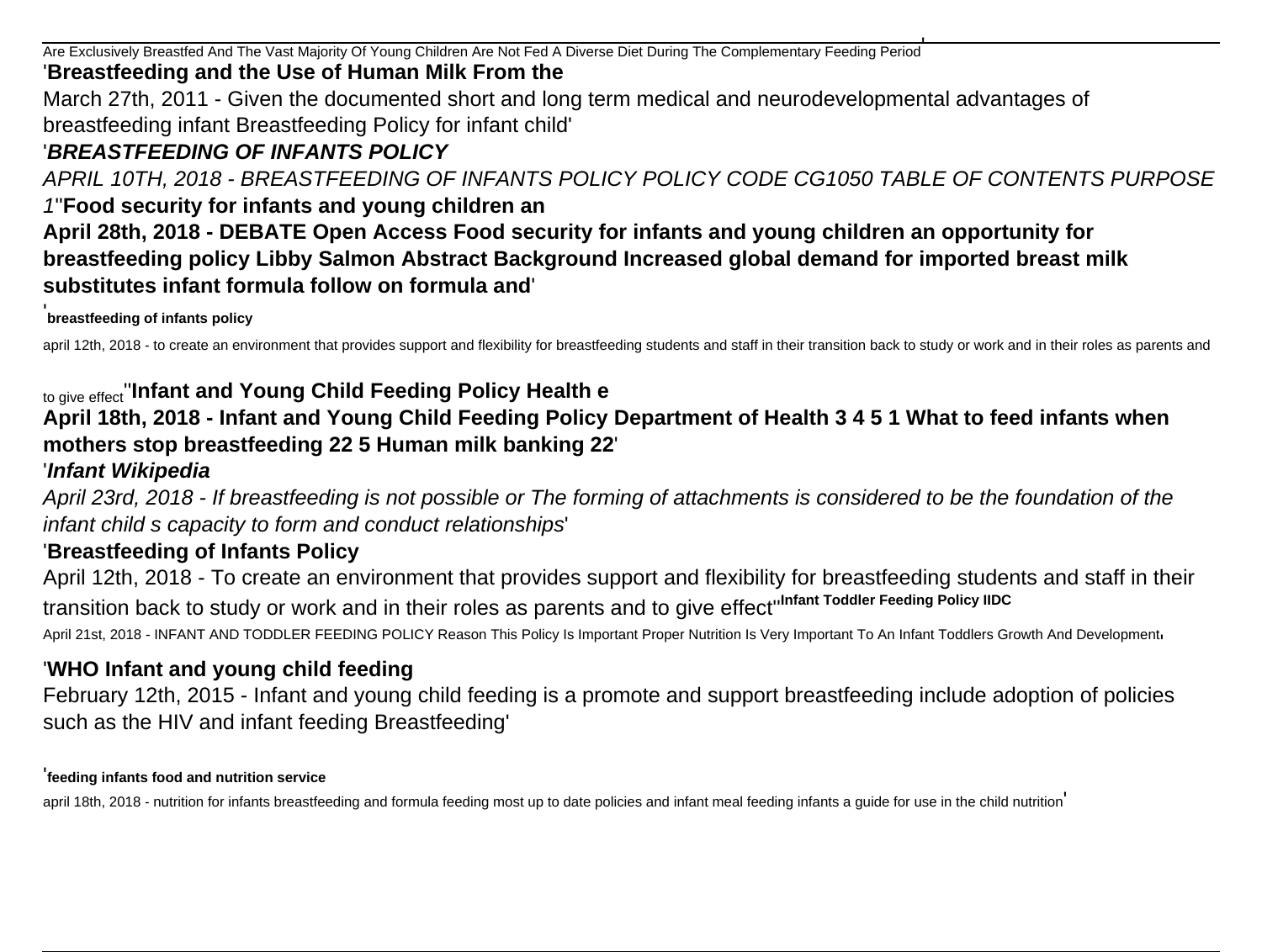Are Exclusively Breastfed And The Vast Majority Of Young Children Are Not Fed A Diverse Diet During The Complementary Feeding Period' '**Breastfeeding and the Use of Human Milk From the** March 27th, 2011 - Given the documented short and long term medical and neurodevelopmental advantages of breastfeeding infant Breastfeeding Policy for infant child'

# '**BREASTFEEDING OF INFANTS POLICY**

APRIL 10TH, 2018 - BREASTFEEDING OF INFANTS POLICY POLICY CODE CG1050 TABLE OF CONTENTS PURPOSE 1''**Food security for infants and young children an April 28th, 2018 - DEBATE Open Access Food security for infants and young children an opportunity for**

**breastfeeding policy Libby Salmon Abstract Background Increased global demand for imported breast milk substitutes infant formula follow on formula and**'

#### **breastfeeding of infants policy**

april 12th, 2018 - to create an environment that provides support and flexibility for breastfeeding students and staff in their transition back to study or work and in their roles as parents and

### to give effect''**Infant and Young Child Feeding Policy Health e April 18th, 2018 - Infant and Young Child Feeding Policy Department of Health 3 4 5 1 What to feed infants when mothers stop breastfeeding 22 5 Human milk banking 22**' '**Infant Wikipedia**

April 23rd, 2018 - If breastfeeding is not possible or The forming of attachments is considered to be the foundation of the infant child s capacity to form and conduct relationships'

# '**Breastfeeding of Infants Policy**

April 12th, 2018 - To create an environment that provides support and flexibility for breastfeeding students and staff in their transition back to study or work and in their roles as parents and to give effect''**Infant Toddler Feeding Policy IIDC**

April 21st, 2018 - INFANT AND TODDLER FEEDING POLICY Reason This Policy Is Important Proper Nutrition Is Very Important To An Infant Toddlers Growth And Development,

# '**WHO Infant and young child feeding**

February 12th, 2015 - Infant and young child feeding is a promote and support breastfeeding include adoption of policies such as the HIV and infant feeding Breastfeeding'

#### '**feeding infants food and nutrition service**

april 18th, 2018 - nutrition for infants breastfeeding and formula feeding most up to date policies and infant meal feeding infants a guide for use in the child nutrition'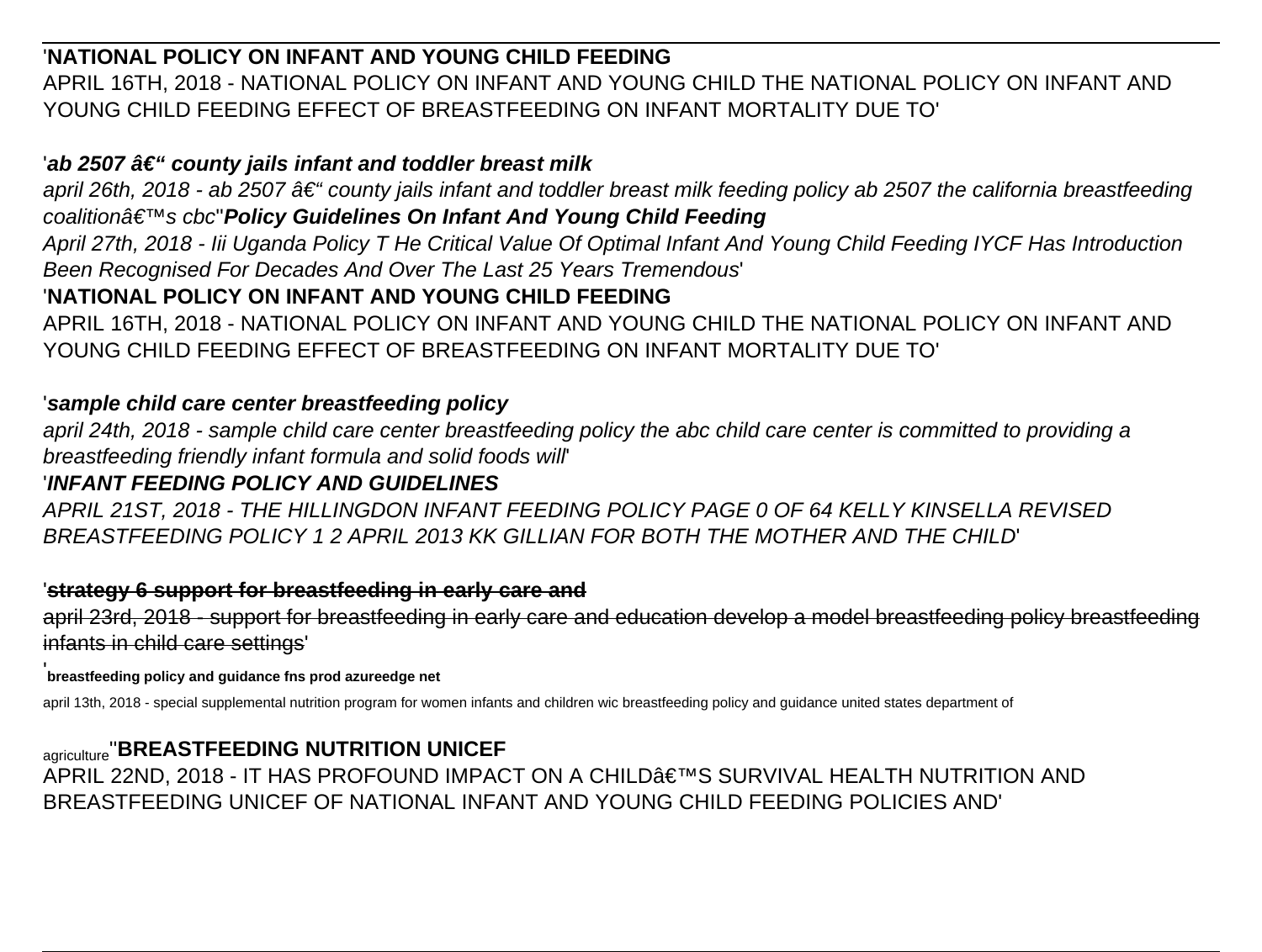# '**NATIONAL POLICY ON INFANT AND YOUNG CHILD FEEDING**

APRIL 16TH, 2018 - NATIONAL POLICY ON INFANT AND YOUNG CHILD THE NATIONAL POLICY ON INFANT AND YOUNG CHILD FEEDING EFFECT OF BREASTFEEDING ON INFANT MORTALITY DUE TO'

# 'ab 2507 †" county jails infant and toddler breast milk

april 26th, 2018 - ab 2507  $\hat{a} \in \hat{a}$  county jails infant and toddler breast milk feeding policy ab 2507 the california breastfeeding coalition<sup>3€ ™</sup>s cbc'Policy Guidelines On Infant And Young Child Feeding

April 27th, 2018 - Iii Uganda Policy T He Critical Value Of Optimal Infant And Young Child Feeding IYCF Has Introduction Been Recognised For Decades And Over The Last 25 Years Tremendous'

# '**NATIONAL POLICY ON INFANT AND YOUNG CHILD FEEDING**

APRIL 16TH, 2018 - NATIONAL POLICY ON INFANT AND YOUNG CHILD THE NATIONAL POLICY ON INFANT AND YOUNG CHILD FEEDING EFFECT OF BREASTFEEDING ON INFANT MORTALITY DUE TO'

### '**sample child care center breastfeeding policy**

april 24th, 2018 - sample child care center breastfeeding policy the abc child care center is committed to providing a breastfeeding friendly infant formula and solid foods will'

# '**INFANT FEEDING POLICY AND GUIDELINES**

APRIL 21ST, 2018 - THE HILLINGDON INFANT FEEDING POLICY PAGE 0 OF 64 KELLY KINSELLA REVISED BREASTFEEDING POLICY 1 2 APRIL 2013 KK GILLIAN FOR BOTH THE MOTHER AND THE CHILD'

### '**strategy 6 support for breastfeeding in early care and**

april 23rd, 2018 - support for breastfeeding in early care and education develop a model breastfeeding policy breastfeeding infants in child care settings'

### '**breastfeeding policy and guidance fns prod azureedge net**

april 13th, 2018 - special supplemental nutrition program for women infants and children wic breastfeeding policy and guidance united states department of

agriculture''**BREASTFEEDING NUTRITION UNICEF** APRIL 22ND, 2018 - IT HAS PROFOUND IMPACT ON A CHILD'S SURVIVAL HEALTH NUTRITION AND BREASTFEEDING UNICEF OF NATIONAL INFANT AND YOUNG CHILD FEEDING POLICIES AND'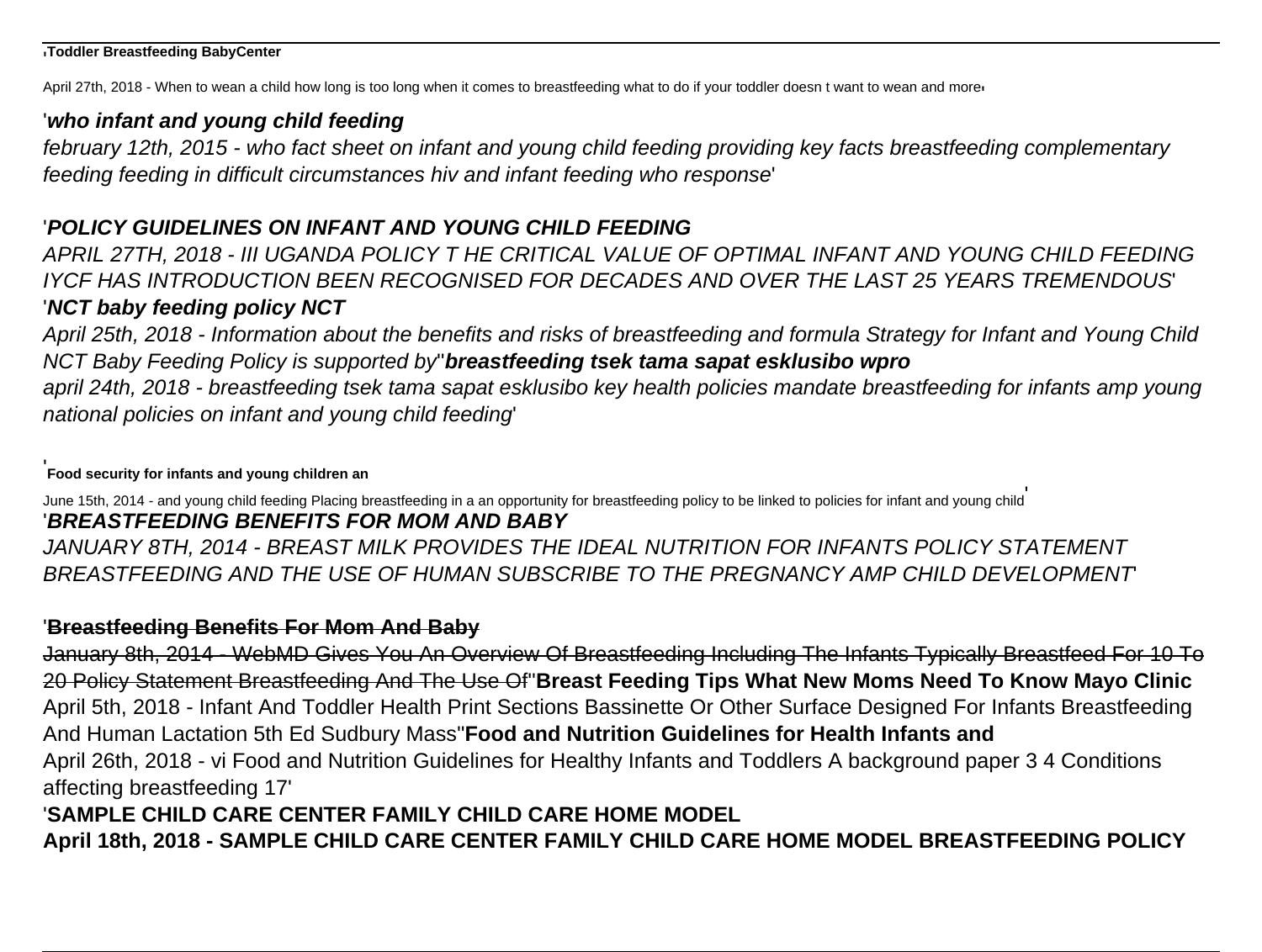#### '**Toddler Breastfeeding BabyCenter**

April 27th, 2018 - When to wean a child how long is too long when it comes to breastfeeding what to do if your toddler doesn t want to wean and more

#### '**who infant and young child feeding**

february 12th, 2015 - who fact sheet on infant and young child feeding providing key facts breastfeeding complementary feeding feeding in difficult circumstances hiv and infant feeding who response'

# '**POLICY GUIDELINES ON INFANT AND YOUNG CHILD FEEDING**

APRIL 27TH, 2018 - III UGANDA POLICY T HE CRITICAL VALUE OF OPTIMAL INFANT AND YOUNG CHILD FEEDING IYCF HAS INTRODUCTION BEEN RECOGNISED FOR DECADES AND OVER THE LAST 25 YEARS TREMENDOUS' '**NCT baby feeding policy NCT**

April 25th, 2018 - Information about the benefits and risks of breastfeeding and formula Strategy for Infant and Young Child NCT Baby Feeding Policy is supported by''**breastfeeding tsek tama sapat esklusibo wpro**

april 24th, 2018 - breastfeeding tsek tama sapat esklusibo key health policies mandate breastfeeding for infants amp young national policies on infant and young child feeding'

'**Food security for infants and young children an**

June 15th, 2014 - and young child feeding Placing breastfeeding in a an opportunity for breastfeeding policy to be linked to policies for infant and young child' '**BREASTFEEDING BENEFITS FOR MOM AND BABY** JANUARY 8TH, 2014 - BREAST MILK PROVIDES THE IDEAL NUTRITION FOR INFANTS POLICY STATEMENT BREASTFEEDING AND THE USE OF HUMAN SUBSCRIBE TO THE PREGNANCY AMP CHILD DEVELOPMENT'

### '**Breastfeeding Benefits For Mom And Baby**

January 8th, 2014 - WebMD Gives You An Overview Of Breastfeeding Including The Infants Typically Breastfeed For 10 To 20 Policy Statement Breastfeeding And The Use Of''**Breast Feeding Tips What New Moms Need To Know Mayo Clinic** April 5th, 2018 - Infant And Toddler Health Print Sections Bassinette Or Other Surface Designed For Infants Breastfeeding And Human Lactation 5th Ed Sudbury Mass''**Food and Nutrition Guidelines for Health Infants and** April 26th, 2018 - vi Food and Nutrition Guidelines for Healthy Infants and Toddlers A background paper 3 4 Conditions affecting breastfeeding 17' '**SAMPLE CHILD CARE CENTER FAMILY CHILD CARE HOME MODEL**

**April 18th, 2018 - SAMPLE CHILD CARE CENTER FAMILY CHILD CARE HOME MODEL BREASTFEEDING POLICY**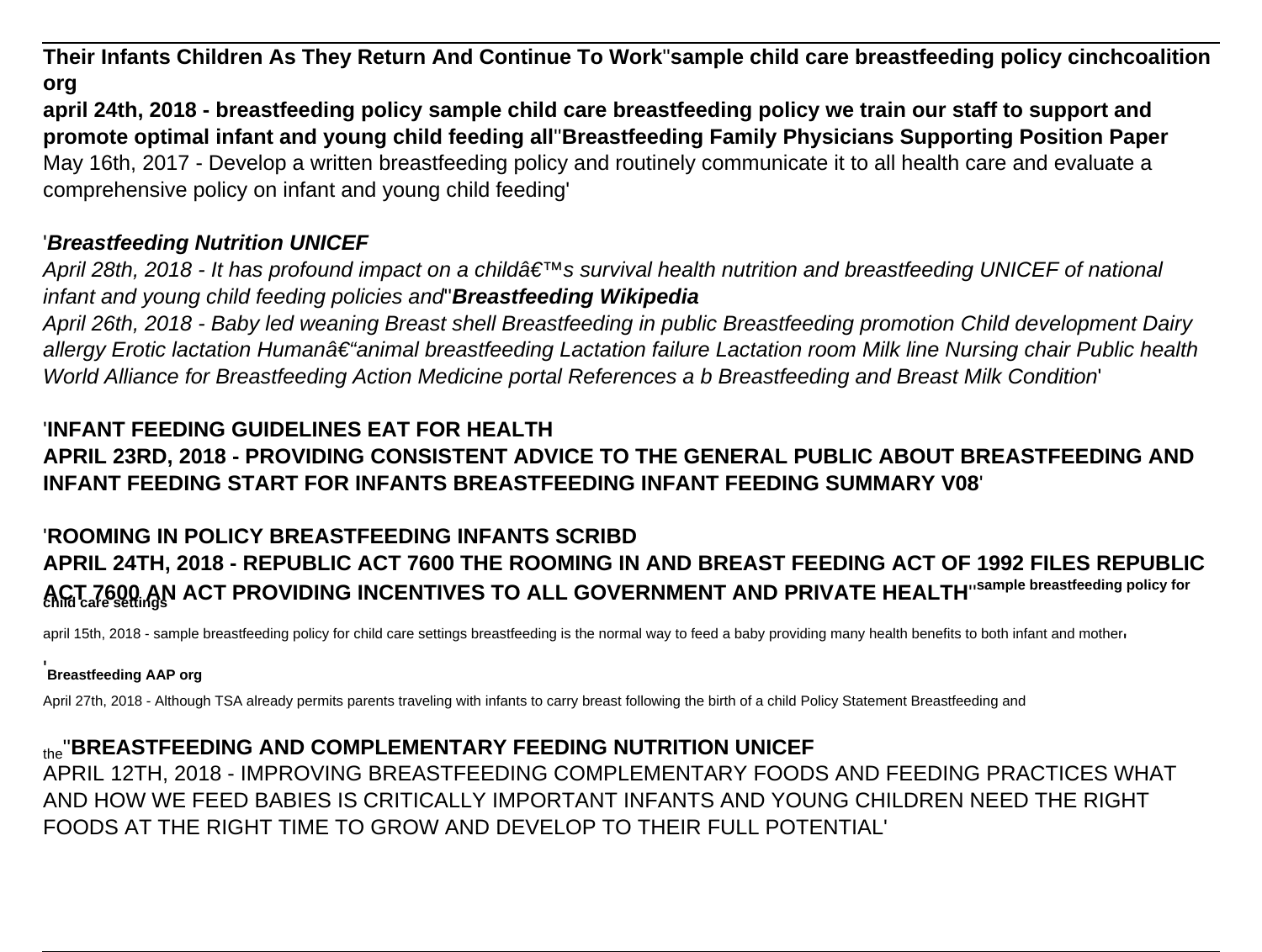**Their Infants Children As They Return And Continue To Work**''**sample child care breastfeeding policy cinchcoalition org**

**april 24th, 2018 - breastfeeding policy sample child care breastfeeding policy we train our staff to support and promote optimal infant and young child feeding all**''**Breastfeeding Family Physicians Supporting Position Paper** May 16th, 2017 - Develop a written breastfeeding policy and routinely communicate it to all health care and evaluate a comprehensive policy on infant and young child feeding'

# '**Breastfeeding Nutrition UNICEF**

April 28th, 2018 - It has profound impact on a childâ€<sup>™</sup>s survival health nutrition and breastfeeding UNICEF of national infant and young child feeding policies and''**Breastfeeding Wikipedia**

April 26th, 2018 - Baby led weaning Breast shell Breastfeeding in public Breastfeeding promotion Child development Dairy allergy Erotic lactation Human†"animal breastfeeding Lactation failure Lactation room Milk line Nursing chair Public health World Alliance for Breastfeeding Action Medicine portal References a b Breastfeeding and Breast Milk Condition'

# '**INFANT FEEDING GUIDELINES EAT FOR HEALTH APRIL 23RD, 2018 - PROVIDING CONSISTENT ADVICE TO THE GENERAL PUBLIC ABOUT BREASTFEEDING AND INFANT FEEDING START FOR INFANTS BREASTFEEDING INFANT FEEDING SUMMARY V08**'

# '**ROOMING IN POLICY BREASTFEEDING INFANTS SCRIBD APRIL 24TH, 2018 - REPUBLIC ACT 7600 THE ROOMING IN AND BREAST FEEDING ACT OF 1992 FILES REPUBLIC ACT 7600 AN ACT PROVIDING INCENTIVES TO ALL GOVERNMENT AND PRIVATE HEALTH**''**sample breastfeeding policy for child care settings**

april 15th, 2018 - sample breastfeeding policy for child care settings breastfeeding is the normal way to feed a baby providing many health benefits to both infant and mother,

#### '**Breastfeeding AAP org**

April 27th, 2018 - Although TSA already permits parents traveling with infants to carry breast following the birth of a child Policy Statement Breastfeeding and

# the''**BREASTFEEDING AND COMPLEMENTARY FEEDING NUTRITION UNICEF**

APRIL 12TH, 2018 - IMPROVING BREASTFEEDING COMPLEMENTARY FOODS AND FEEDING PRACTICES WHAT AND HOW WE FEED BABIES IS CRITICALLY IMPORTANT INFANTS AND YOUNG CHILDREN NEED THE RIGHT FOODS AT THE RIGHT TIME TO GROW AND DEVELOP TO THEIR FULL POTENTIAL'